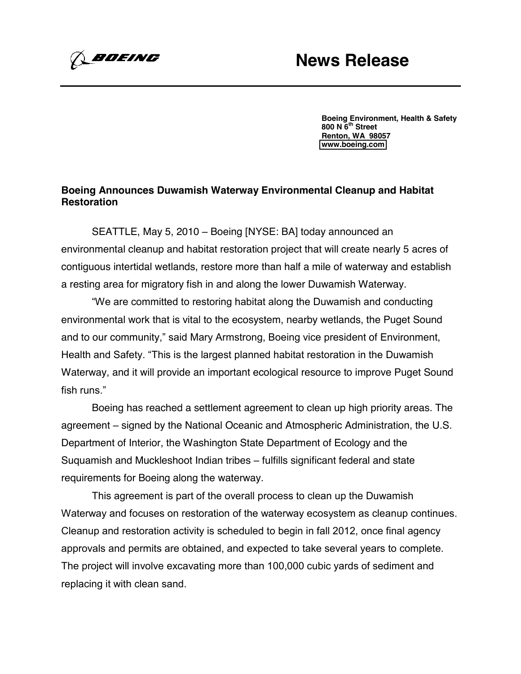*BOEING* 

**Boeing Environment, Health & Safety 800 N 6th Street Renton, WA 98057 [www.boeing.com](http://www.boeing.com/)**

## **Boeing Announces Duwamish Waterway Environmental Cleanup and Habitat Restoration**

SEATTLE, May 5, 2010 – Boeing [NYSE: BA] today announced an environmental cleanup and habitat restoration project that will create nearly 5 acres of contiguous intertidal wetlands, restore more than half a mile of waterway and establish a resting area for migratory fish in and along the lower Duwamish Waterway.

"We are committed to restoring habitat along the Duwamish and conducting environmental work that is vital to the ecosystem, nearby wetlands, the Puget Sound and to our community," said Mary Armstrong, Boeing vice president of Environment, Health and Safety. "This is the largest planned habitat restoration in the Duwamish Waterway, and it will provide an important ecological resource to improve Puget Sound fish runs."

Boeing has reached a settlement agreement to clean up high priority areas. The agreement – signed by the National Oceanic and Atmospheric Administration, the U.S. Department of Interior, the Washington State Department of Ecology and the Suquamish and Muckleshoot Indian tribes – fulfills significant federal and state requirements for Boeing along the waterway.

This agreement is part of the overall process to clean up the Duwamish Waterway and focuses on restoration of the waterway ecosystem as cleanup continues. Cleanup and restoration activity is scheduled to begin in fall 2012, once final agency approvals and permits are obtained, and expected to take several years to complete. The project will involve excavating more than 100,000 cubic yards of sediment and replacing it with clean sand.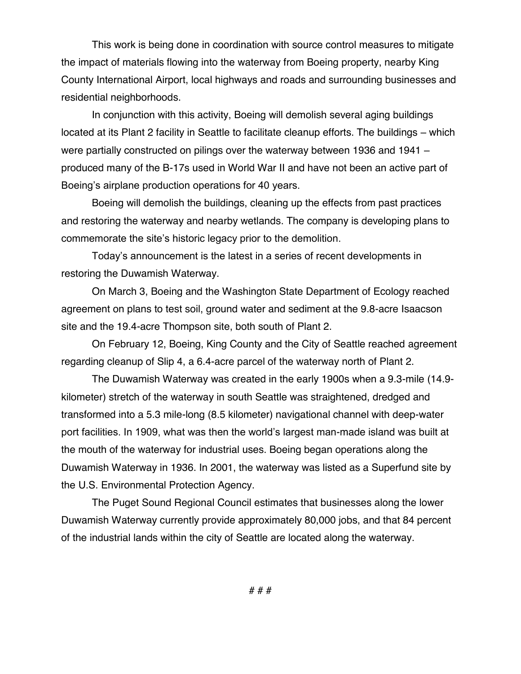This work is being done in coordination with source control measures to mitigate the impact of materials flowing into the waterway from Boeing property, nearby King County International Airport, local highways and roads and surrounding businesses and residential neighborhoods.

In conjunction with this activity, Boeing will demolish several aging buildings located at its Plant 2 facility in Seattle to facilitate cleanup efforts. The buildings – which were partially constructed on pilings over the waterway between 1936 and 1941 – produced many of the B-17s used in World War II and have not been an active part of Boeing's airplane production operations for 40 years.

Boeing will demolish the buildings, cleaning up the effects from past practices and restoring the waterway and nearby wetlands. The company is developing plans to commemorate the site's historic legacy prior to the demolition.

Today's announcement is the latest in a series of recent developments in restoring the Duwamish Waterway.

On March 3, Boeing and the Washington State Department of Ecology reached agreement on plans to test soil, ground water and sediment at the 9.8-acre Isaacson site and the 19.4-acre Thompson site, both south of Plant 2.

On February 12, Boeing, King County and the City of Seattle reached agreement regarding cleanup of Slip 4, a 6.4-acre parcel of the waterway north of Plant 2.

The Duwamish Waterway was created in the early 1900s when a 9.3-mile (14.9 kilometer) stretch of the waterway in south Seattle was straightened, dredged and transformed into a 5.3 mile-long (8.5 kilometer) navigational channel with deep-water port facilities. In 1909, what was then the world's largest man-made island was built at the mouth of the waterway for industrial uses. Boeing began operations along the Duwamish Waterway in 1936. In 2001, the waterway was listed as a Superfund site by the U.S. Environmental Protection Agency.

The Puget Sound Regional Council estimates that businesses along the lower Duwamish Waterway currently provide approximately 80,000 jobs, and that 84 percent of the industrial lands within the city of Seattle are located along the waterway.